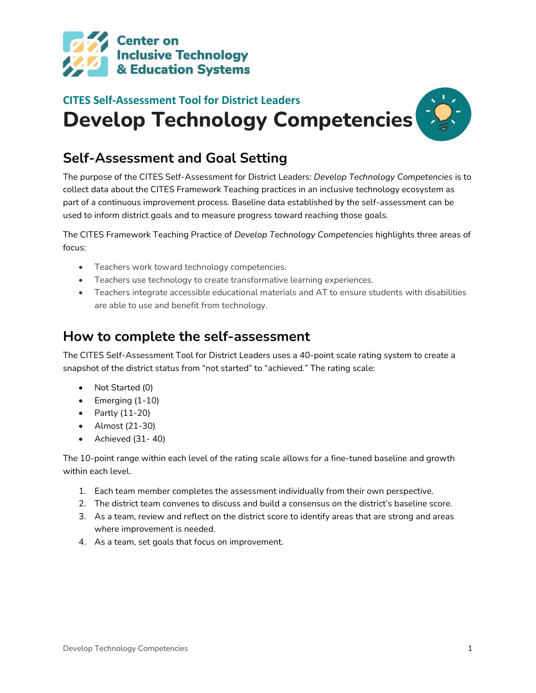

# **CITES Self-Assessment Tool for District Leaders Develop Technology Competencies**

### **Self-Assessment and Goal Setting**

The purpose of the CITES Self-Assessment for District Leaders: *Develop Technology Competencies* is to collect data about the CITES Framework Teaching practices in an inclusive technology ecosystem as part of a continuous improvement process. Baseline data established by the self-assessment can be used to inform district goals and to measure progress toward reaching those goals.

The CITES Framework Teaching Practice of *Develop Technology Competencies* highlights three areas of focus:

- Teachers work toward technology competencies.
- Teachers use technology to create transformative learning experiences.
- Teachers integrate accessible educational materials and AT to ensure students with disabilities are able to use and benefit from technology.

#### **How to complete the self-assessment**

The CITES Self-Assessment Tool for District Leaders uses a 40-point scale rating system to create a snapshot of the district status from "not started" to "achieved." The rating scale:

- Not Started (0)
- $\bullet$  Emerging (1-10)
- Partly (11-20)
- Almost (21-30)
- Achieved (31- 40)

The 10-point range within each level of the rating scale allows for a fine-tuned baseline and growth within each level.

- 1. Each team member completes the assessment individually from their own perspective.
- 2. The district team convenes to discuss and build a consensus on the district's baseline score.
- 3. As a team, review and reflect on the district score to identify areas that are strong and areas where improvement is needed.
- 4. As a team, set goals that focus on improvement.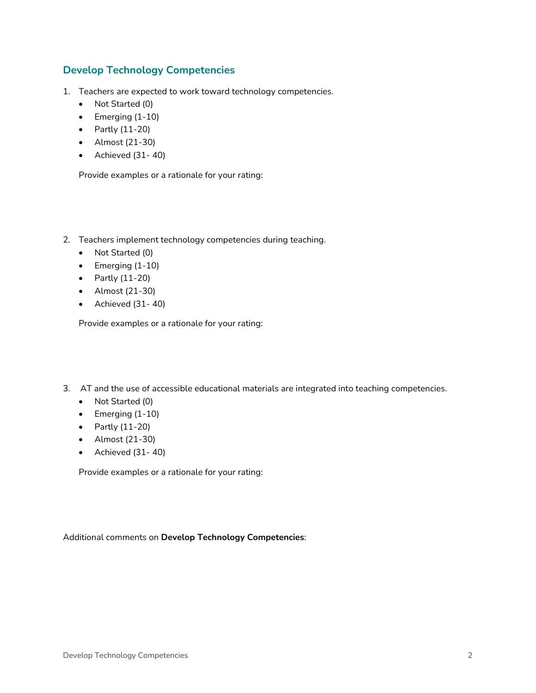#### **Develop Technology Competencies**

- 1. Teachers are expected to work toward technology competencies.
	- Not Started (0)
	- $\bullet$  Emerging (1-10)
	- Partly (11-20)
	- Almost (21-30)
	- Achieved (31- 40)

Provide examples or a rationale for your rating:

- 2. Teachers implement technology competencies during teaching.
	- Not Started (0)
	- $\bullet$  Emerging (1-10)
	- Partly (11-20)
	- Almost (21-30)
	- Achieved (31- 40)

Provide examples or a rationale for your rating:

- 3. AT and the use of accessible educational materials are integrated into teaching competencies.
	- Not Started (0)
	- Emerging (1-10)
	- Partly (11-20)
	- Almost (21-30)
	- Achieved (31- 40)

Provide examples or a rationale for your rating:

Additional comments on **Develop Technology Competencies**: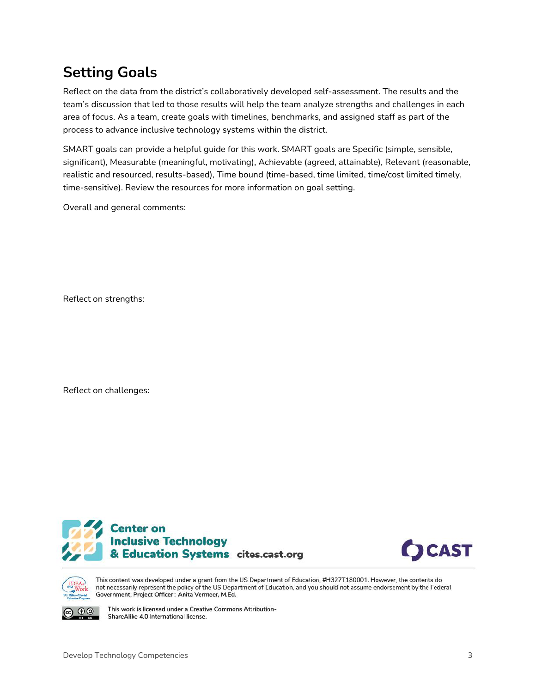## **Setting Goals**

Reflect on the data from the district's collaboratively developed self-assessment. The results and the team's discussion that led to those results will help the team analyze strengths and challenges in each area of focus. As a team, create goals with timelines, benchmarks, and assigned staff as part of the process to advance inclusive technology systems within the district.

SMART goals can provide a helpful guide for this work. SMART goals are Specific (simple, sensible, significant), Measurable (meaningful, motivating), Achievable (agreed, attainable), Relevant (reasonable, realistic and resourced, results-based), Time bound (time-based, time limited, time/cost limited timely, time-sensitive). Review the resources for more information on goal setting.

Overall and general comments:

Reflect on strengths:

Reflect on challenges:







(i) (o)

This content was developed under a grant from the US Department of Education, #H327T180001. However, the contents do not necessarily represent the policy of the US Department of Education, and you should not assume endorsement by the Federal Government. Project Officer: Anita Vermeer, M.Ed.

This work is licensed under a Creative Commons Attribution-ShareAlike 4.0 International license.